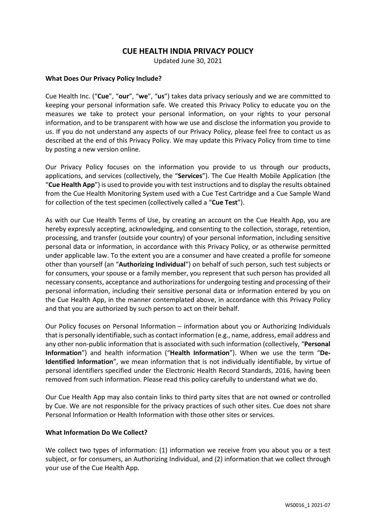# **CUE HEALTH INDIA PRIVACY POLICY**

Updated June 30, 2021

#### **What Does Our Privacy Policy Include?**

Cue Health Inc. ("**Cue**", "**our**", "**we**", "**us**") takes data privacy seriously and we are committed to keeping your personal information safe. We created this Privacy Policy to educate you on the measures we take to protect your personal information, on your rights to your personal information, and to be transparent with how we use and disclose the information you provide to us. If you do not understand any aspects of our Privacy Policy, please feel free to contact us as described at the end of this Privacy Policy. We may update this Privacy Policy from time to time by posting a new version online.

Our Privacy Policy focuses on the information you provide to us through our products, applications, and services (collectively, the "**Services**"). The Cue Health Mobile Application (the "**Cue Health App**") is used to provide you with test instructions and to display the results obtained from the Cue Health Monitoring System used with a Cue Test Cartridge and a Cue Sample Wand for collection of the test specimen (collectively called a "**Cue Test**").

As with our Cue Health Terms of Use, by creating an account on the Cue Health App, you are hereby expressly accepting, acknowledging, and consenting to the collection, storage, retention, processing, and transfer (outside your country) of your personal information, including sensitive personal data or information, in accordance with this Privacy Policy, or as otherwise permitted under applicable law. To the extent you are a consumer and have created a profile for someone other than yourself (an "**Authorizing Individual**") on behalf of such person, such test subjects or for consumers, your spouse or a family member, you represent that such person has provided all necessary consents, acceptance and authorizations for undergoing testing and processing of their personal information, including their sensitive personal data or information entered by you on the Cue Health App, in the manner contemplated above, in accordance with this Privacy Policy and that you are authorized by such person to act on their behalf.

Our Policy focuses on Personal Information – information about you or Authorizing Individuals that is personally identifiable, such as contact information (e.g., name, address, email address and any other non-public information that is associated with such information (collectively, "**Personal Information**") and health information ("**Health Information**"). When we use the term "**De-Identified Information**", we mean information that is not individually identifiable, by virtue of personal identifiers specified under the Electronic Health Record Standards, 2016, having been removed from such information. Please read this policy carefully to understand what we do.

Our Cue Health App may also contain links to third party sites that are not owned or controlled by Cue. We are not responsible for the privacy practices of such other sites. Cue does not share Personal Information or Health Information with those other sites or services.

# **What Information Do We Collect?**

We collect two types of information: (1) information we receive from you about you or a test subject, or for consumers, an Authorizing Individual, and (2) information that we collect through your use of the Cue Health App.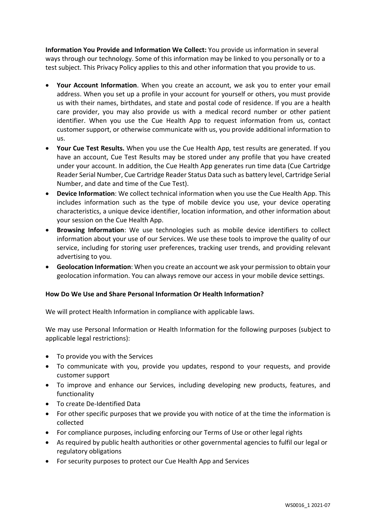**Information You Provide and Information We Collect:** You provide us information in several ways through our technology. Some of this information may be linked to you personally or to a test subject. This Privacy Policy applies to this and other information that you provide to us.

- **Your Account Information**. When you create an account, we ask you to enter your email address. When you set up a profile in your account for yourself or others, you must provide us with their names, birthdates, and state and postal code of residence. If you are a health care provider, you may also provide us with a medical record number or other patient identifier. When you use the Cue Health App to request information from us, contact customer support, or otherwise communicate with us, you provide additional information to us.
- **Your Cue Test Results.** When you use the Cue Health App, test results are generated. If you have an account, Cue Test Results may be stored under any profile that you have created under your account. In addition, the Cue Health App generates run time data (Cue Cartridge Reader Serial Number, Cue Cartridge Reader Status Data such as battery level, Cartridge Serial Number, and date and time of the Cue Test).
- **Device Information**: We collect technical information when you use the Cue Health App. This includes information such as the type of mobile device you use, your device operating characteristics, a unique device identifier, location information, and other information about your session on the Cue Health App.
- **Browsing Information**: We use technologies such as mobile device identifiers to collect information about your use of our Services. We use these tools to improve the quality of our service, including for storing user preferences, tracking user trends, and providing relevant advertising to you.
- **Geolocation Information**: When you create an account we ask your permission to obtain your geolocation information. You can always remove our access in your mobile device settings.

# **How Do We Use and Share Personal Information Or Health Information?**

We will protect Health Information in compliance with applicable laws.

We may use Personal Information or Health Information for the following purposes (subject to applicable legal restrictions):

- To provide you with the Services
- To communicate with you, provide you updates, respond to your requests, and provide customer support
- To improve and enhance our Services, including developing new products, features, and functionality
- To create De-Identified Data
- For other specific purposes that we provide you with notice of at the time the information is collected
- For compliance purposes, including enforcing our Terms of Use or other legal rights
- As required by public health authorities or other governmental agencies to fulfil our legal or regulatory obligations
- For security purposes to protect our Cue Health App and Services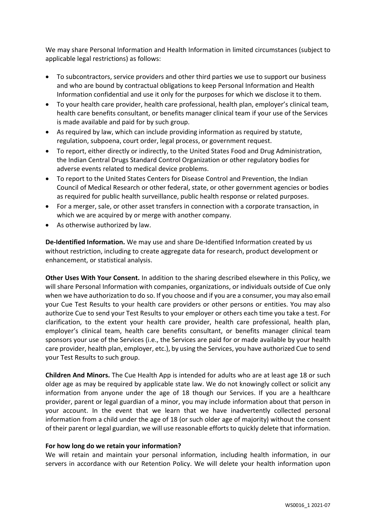We may share Personal Information and Health Information in limited circumstances (subject to applicable legal restrictions) as follows:

- To subcontractors, service providers and other third parties we use to support our business and who are bound by contractual obligations to keep Personal Information and Health Information confidential and use it only for the purposes for which we disclose it to them.
- To your health care provider, health care professional, health plan, employer's clinical team, health care benefits consultant, or benefits manager clinical team if your use of the Services is made available and paid for by such group.
- As required by law, which can include providing information as required by statute, regulation, subpoena, court order, legal process, or government request.
- To report, either directly or indirectly, to the United States Food and Drug Administration, the Indian Central Drugs Standard Control Organization or other regulatory bodies for adverse events related to medical device problems.
- To report to the United States Centers for Disease Control and Prevention, the Indian Council of Medical Research or other federal, state, or other government agencies or bodies as required for public health surveillance, public health response or related purposes.
- For a merger, sale, or other asset transfers in connection with a corporate transaction, in which we are acquired by or merge with another company.
- As otherwise authorized by law.

**De-Identified Information.** We may use and share De-Identified Information created by us without restriction, including to create aggregate data for research, product development or enhancement, or statistical analysis.

**Other Uses With Your Consent.** In addition to the sharing described elsewhere in this Policy, we will share Personal Information with companies, organizations, or individuals outside of Cue only when we have authorization to do so. If you choose and if you are a consumer, you may also email your Cue Test Results to your health care providers or other persons or entities. You may also authorize Cue to send your Test Results to your employer or others each time you take a test. For clarification, to the extent your health care provider, health care professional, health plan, employer's clinical team, health care benefits consultant, or benefits manager clinical team sponsors your use of the Services (i.e., the Services are paid for or made available by your health care provider, health plan, employer, etc.), by using the Services, you have authorized Cue to send your Test Results to such group.

**Children And Minors.** The Cue Health App is intended for adults who are at least age 18 or such older age as may be required by applicable state law. We do not knowingly collect or solicit any information from anyone under the age of 18 though our Services. If you are a healthcare provider, parent or legal guardian of a minor, you may include information about that person in your account. In the event that we learn that we have inadvertently collected personal information from a child under the age of 18 (or such older age of majority) without the consent of their parent or legal guardian, we will use reasonable efforts to quickly delete that information.

# **For how long do we retain your information?**

We will retain and maintain your personal information, including health information, in our servers in accordance with our Retention Policy. We will delete your health information upon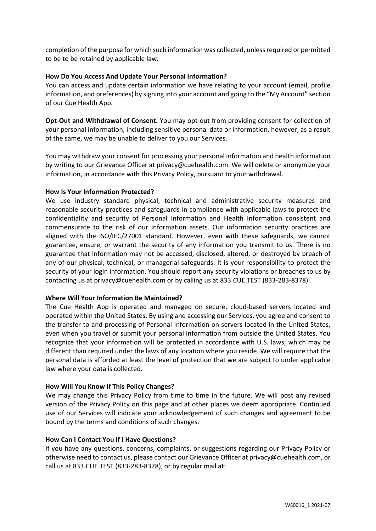completion of the purpose for which such information was collected, unless required or permitted to be to be retained by applicable law.

# **How Do You Access And Update Your Personal Information?**

You can access and update certain information we have relating to your account (email, profile information, and preferences) by signing into your account and going to the "My Account" section of our Cue Health App.

**Opt-Out and Withdrawal of Consent.** You may opt-out from providing consent for collection of your personal information, including sensitive personal data or information, however, as a result of the same, we may be unable to deliver to you our Services.

You may withdraw your consent for processing your personal information and health information by writing to our Grievance Officer at privacy@cuehealth.com. We will delete or anonymize your information, in accordance with this Privacy Policy, pursuant to your withdrawal.

# **How Is Your Information Protected?**

We use industry standard physical, technical and administrative security measures and reasonable security practices and safeguards in compliance with applicable laws to protect the confidentiality and security of Personal Information and Health Information consistent and commensurate to the risk of our information assets. Our information security practices are aligned with the ISO/IEC/27001 standard. However, even with these safeguards, we cannot guarantee, ensure, or warrant the security of any information you transmit to us. There is no guarantee that information may not be accessed, disclosed, altered, or destroyed by breach of any of our physical, technical, or managerial safeguards. It is your responsibility to protect the security of your login information. You should report any security violations or breaches to us by contacting us at privacy@cuehealth.com or by calling us at 833.CUE.TEST (833-283-8378).

# **Where Will Your Information Be Maintained?**

The Cue Health App is operated and managed on secure, cloud-based servers located and operated within the United States. By using and accessing our Services, you agree and consent to the transfer to and processing of Personal Information on servers located in the United States, even when you travel or submit your personal information from outside the United States. You recognize that your information will be protected in accordance with U.S. laws, which may be different than required under the laws of any location where you reside. We will require that the personal data is afforded at least the level of protection that we are subject to under applicable law where your data is collected.

# **How Will You Know If This Policy Changes?**

We may change this Privacy Policy from time to time in the future. We will post any revised version of the Privacy Policy on this page and at other places we deem appropriate. Continued use of our Services will indicate your acknowledgement of such changes and agreement to be bound by the terms and conditions of such changes.

# **How Can I Contact You If I Have Questions?**

If you have any questions, concerns, complaints, or suggestions regarding our Privacy Policy or otherwise need to contact us, please contact our Grievance Officer at privacy@cuehealth.com, or call us at 833.CUE.TEST (833-283-8378), or by regular mail at: